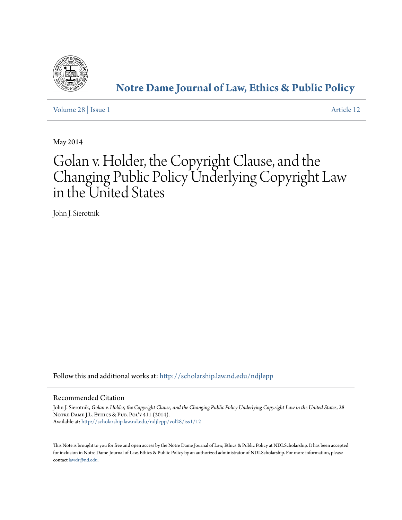

## **[Notre Dame Journal of Law, Ethics & Public Policy](http://scholarship.law.nd.edu/ndjlepp?utm_source=scholarship.law.nd.edu%2Fndjlepp%2Fvol28%2Fiss1%2F12&utm_medium=PDF&utm_campaign=PDFCoverPages)**

[Volume 28](http://scholarship.law.nd.edu/ndjlepp/vol28?utm_source=scholarship.law.nd.edu%2Fndjlepp%2Fvol28%2Fiss1%2F12&utm_medium=PDF&utm_campaign=PDFCoverPages) | [Issue 1](http://scholarship.law.nd.edu/ndjlepp/vol28/iss1?utm_source=scholarship.law.nd.edu%2Fndjlepp%2Fvol28%2Fiss1%2F12&utm_medium=PDF&utm_campaign=PDFCoverPages) [Article 12](http://scholarship.law.nd.edu/ndjlepp/vol28/iss1/12?utm_source=scholarship.law.nd.edu%2Fndjlepp%2Fvol28%2Fiss1%2F12&utm_medium=PDF&utm_campaign=PDFCoverPages)

May 2014

# Golan v. Holder, the Copyright Clause, and the Changing Public Policy Underlying Copyright Law in the United States

John J. Sierotnik

Follow this and additional works at: [http://scholarship.law.nd.edu/ndjlepp](http://scholarship.law.nd.edu/ndjlepp?utm_source=scholarship.law.nd.edu%2Fndjlepp%2Fvol28%2Fiss1%2F12&utm_medium=PDF&utm_campaign=PDFCoverPages)

#### Recommended Citation

John J. Sierotnik, *Golan v. Holder, the Copyright Clause, and the Changing Public Policy Underlying Copyright Law in the United States*, 28 NOTRE DAME J.L. ETHICS & PUB. POL'Y 411 (2014). Available at: [http://scholarship.law.nd.edu/ndjlepp/vol28/iss1/12](http://scholarship.law.nd.edu/ndjlepp/vol28/iss1/12?utm_source=scholarship.law.nd.edu%2Fndjlepp%2Fvol28%2Fiss1%2F12&utm_medium=PDF&utm_campaign=PDFCoverPages)

This Note is brought to you for free and open access by the Notre Dame Journal of Law, Ethics & Public Policy at NDLScholarship. It has been accepted for inclusion in Notre Dame Journal of Law, Ethics & Public Policy by an authorized administrator of NDLScholarship. For more information, please contact [lawdr@nd.edu.](mailto:lawdr@nd.edu)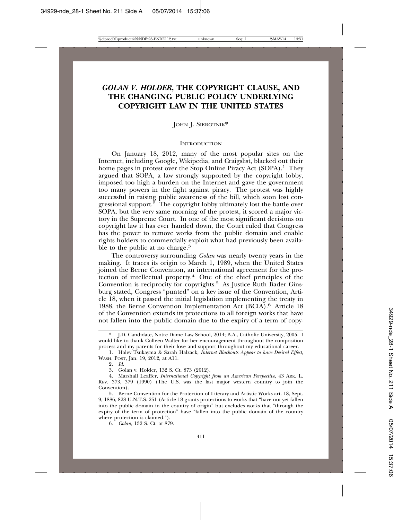### *GOLAN V. HOLDER***, THE COPYRIGHT CLAUSE, AND THE CHANGING PUBLIC POLICY UNDERLYING COPYRIGHT LAW IN THE UNITED STATES**

JOHN J. SIEROTNIK\*

#### **INTRODUCTION**

On January 18, 2012, many of the most popular sites on the Internet, including Google, Wikipedia, and Craigslist, blacked out their home pages in protest over the Stop Online Piracy Act (SOPA).<sup>1</sup> They argued that SOPA, a law strongly supported by the copyright lobby, imposed too high a burden on the Internet and gave the government too many powers in the fight against piracy. The protest was highly successful in raising public awareness of the bill, which soon lost congressional support.<sup>2</sup> The copyright lobby ultimately lost the battle over SOPA, but the very same morning of the protest, it scored a major victory in the Supreme Court. In one of the most significant decisions on copyright law it has ever handed down, the Court ruled that Congress has the power to remove works from the public domain and enable rights holders to commercially exploit what had previously been available to the public at no charge.<sup>3</sup>

The controversy surrounding *Golan* was nearly twenty years in the making. It traces its origin to March 1, 1989, when the United States joined the Berne Convention, an international agreement for the protection of intellectual property.4 One of the chief principles of the Convention is reciprocity for copyrights.<sup>5</sup> As Justice Ruth Bader Ginsburg stated, Congress "punted" on a key issue of the Convention, Article 18, when it passed the initial legislation implementing the treaty in 1988, the Berne Convention Implementation Act (BCIA).6 Article 18 of the Convention extends its protections to all foreign works that have not fallen into the public domain due to the expiry of a term of copy-

2. *Id.*

6. *Golan*, 132 S. Ct. at 879.

<sup>\*</sup> J.D. Candidate, Notre Dame Law School, 2014; B.A., Catholic University, 2005. I would like to thank Colleen Walter for her encouragement throughout the composition process and my parents for their love and support throughout my educational career.

<sup>1.</sup> Haley Tsukayma & Sarah Halzack, *Internet Blackouts Appear to have Desired Effect*, WASH. POST, Jan. 19, 2012, at A11.

<sup>3.</sup> Golan v. Holder, 132 S. Ct. 873 (2012).

<sup>4.</sup> Marshall Leaffer, *International Copyright from an American Perspective*, 43 ARK. L. REV. 373, 379 (1990) (The U.S. was the last major western country to join the Convention).

<sup>5.</sup> Berne Convention for the Protection of Literary and Artistic Works art. 18, Sept. 9, 1886, 828 U.N.T.S. 251 (Article 18 grants protections to works that "have not yet fallen into the public domain in the country of origin" but excludes works that "through the expiry of the term of protection" have "fallen into the public domain of the country where protection is claimed.").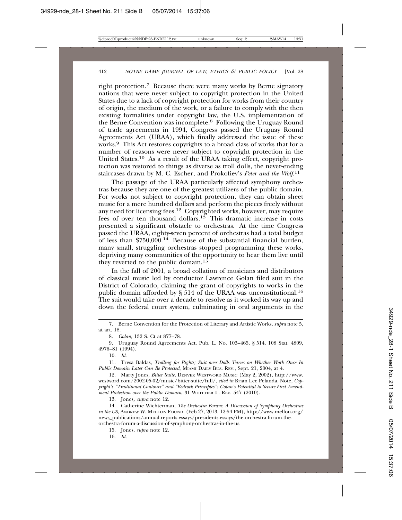right protection.7 Because there were many works by Berne signatory nations that were never subject to copyright protection in the United States due to a lack of copyright protection for works from their country of origin, the medium of the work, or a failure to comply with the then existing formalities under copyright law, the U.S. implementation of the Berne Convention was incomplete.8 Following the Uruguay Round of trade agreements in 1994, Congress passed the Uruguay Round Agreements Act (URAA), which finally addressed the issue of these works.9 This Act restores copyrights to a broad class of works that for a number of reasons were never subject to copyright protection in the United States.10 As a result of the URAA taking effect, copyright protection was restored to things as diverse as troll dolls, the never-ending staircases drawn by M. C. Escher, and Prokofiev's *Peter and the Wolf*. 11

The passage of the URAA particularly affected symphony orchestras because they are one of the greatest utilizers of the public domain. For works not subject to copyright protection, they can obtain sheet music for a mere hundred dollars and perform the pieces freely without any need for licensing fees.12 Copyrighted works, however, may require fees of over ten thousand dollars.13 This dramatic increase in costs presented a significant obstacle to orchestras. At the time Congress passed the URAA, eighty-seven percent of orchestras had a total budget of less than  $$750,000$ .<sup>14</sup> Because of the substantial financial burden, many small, struggling orchestras stopped programming these works, depriving many communities of the opportunity to hear them live until they reverted to the public domain.15

In the fall of 2001, a broad collation of musicians and distributors of classical music led by conductor Lawrence Golan filed suit in the District of Colorado, claiming the grant of copyrights to works in the public domain afforded by § 514 of the URAA was unconstitutional.<sup>16</sup> The suit would take over a decade to resolve as it worked its way up and down the federal court system, culminating in oral arguments in the

10. *Id.*

11. Tresa Baldas, *Trolling for Rights; Suit over Dolls Turns on Whether Work Once In Public Domain Later Can Be Protected*, MIAMI DAILY BUS. REV., Sept. 21, 2004, at 4.

12. Marty Jones, *Bitter Suite*, DENVER WESTWORD MUSIC (May 2, 2002), http://www. westword.com/2002-05-02/music/bitter-suite/full/, *cited in* Brian Lee Pelanda, Note, *Copyright's "Traditional Contours" and "Bedrock Principles": Golan's Potential to Secure First Amendment Protection over the Public Domain*, 31 WHITTIER L. REV. 547 (2010).

13. Jones*, supra* note 12*.*

14. Catherine Wichterman, *The Orchestra Forum: A Discussion of Symphony Orchestras in the US, ANDREW W. MELLON FOUND.* (Feb 27, 2013, 12:54 PM), http://www.mellon.org/ news\_publications/annual-reports-essays/presidents-essays/the-orchestra-forum-theorchestra-forum-a-discussion-of-symphony-orchestras-in-the-us.

15. Jones, *supra* note 12.

16. *Id.*

<sup>7.</sup> Berne Convention for the Protection of Literary and Artistic Works, *supra* note 5, at art. 18.

<sup>8.</sup> *Golan*, 132 S. Ct at 877–78.

<sup>9.</sup> Uruguay Round Agreements Act, Pub. L. No. 103–465, § 514, 108 Stat. 4809, 4976–81 (1994).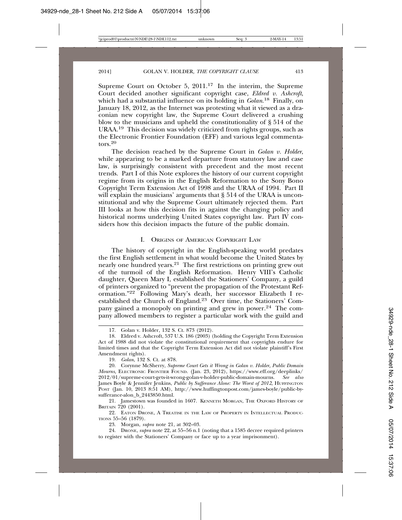Supreme Court on October 5,  $2011<sup>17</sup>$  In the interim, the Supreme Court decided another significant copyright case, *Eldred v. Ashcroft*, which had a substantial influence on its holding in *Golan*. 18 Finally, on January 18, 2012, as the Internet was protesting what it viewed as a draconian new copyright law, the Supreme Court delivered a crushing blow to the musicians and upheld the constitutionality of § 514 of the URAA.19 This decision was widely criticized from rights groups, such as the Electronic Frontier Foundation (EFF) and various legal commentators.<sup>20</sup>

The decision reached by the Supreme Court in *Golan v. Holder*, while appearing to be a marked departure from statutory law and case law, is surprisingly consistent with precedent and the most recent trends. Part I of this Note explores the history of our current copyright regime from its origins in the English Reformation to the Sony Bono Copyright Term Extension Act of 1998 and the URAA of 1994. Part II will explain the musicians' arguments that  $\S 514$  of the URAA is unconstitutional and why the Supreme Court ultimately rejected them. Part III looks at how this decision fits in against the changing policy and historical norms underlying United States copyright law. Part IV considers how this decision impacts the future of the public domain.

#### I. ORIGINS OF AMERICAN COPYRIGHT LAW

The history of copyright in the English-speaking world predates the first English settlement in what would become the United States by nearly one hundred years.21 The first restrictions on printing grew out of the turmoil of the English Reformation. Henry VIII's Catholic daughter, Queen Mary I, established the Stationers' Company, a guild of printers organized to "prevent the propagation of the Protestant Reformation."22 Following Mary's death, her successor Elizabeth I reestablished the Church of England.23 Over time, the Stationers' Company gained a monopoly on printing and grew in power.24 The company allowed members to register a particular work with the guild and

19. *Golan*, 132 S. Ct. at 878.

20. Corynne McSherry, *Supreme Court Gets it Wrong in Golan v. Holder, Public Domain Mourns,* ELECTRONIC FRONTIER FOUND. (Jan. 23, 2012), https://www.eff.org/deeplinks/ 2012/01/supreme-court-gets-it-wrong-golan-v-holder-public-domain-mourns. *See also* James Boyle & Jennifer Jenkins, *Public by Sufferance Alone: The Worst of 2012*, HUFFINGTON POST (Jan. 10, 2013 8:51 AM), http://www.huffingtonpost.com/james-boyle/public-bysufferance-alon\_b\_2443850.html.

21. Jamestown was founded in 1607. KENNETH MORGAN, THE OXFORD HISTORY OF BRITAIN 720 (2001).

22. EATON DRONE, A TREATISE IN THE LAW OF PROPERTY IN INTELLECTUAL PRODUC-TIONS 55–56 (1879).

23. Morgan, *supra* note 21, at 302–03.

24. DRONE, *supra* note 22, at 55–56 n.1 (noting that a 1585 decree required printers to register with the Stationers' Company or face up to a year imprisonment).

<sup>17.</sup> Golan v. Holder, 132 S. Ct. 873 (2012).

<sup>18.</sup> Eldred v. Ashcroft, 537 U.S. 186 (2003) (holding the Copyright Term Extension Act of 1988 did not violate the constitutional requirement that copyrights endure for limited times and that the Copyright Term Extension Act did not violate plaintiff's First Amendment rights).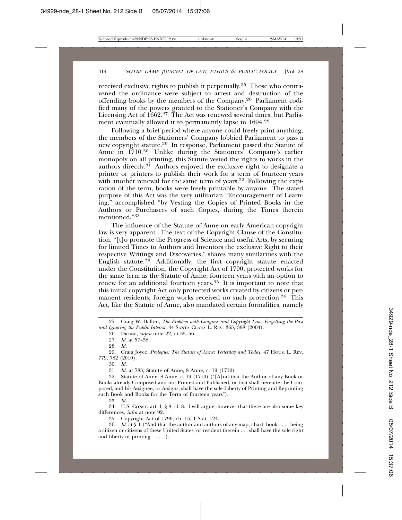received exclusive rights to publish it perpetually.25 Those who contravened the ordinance were subject to arrest and destruction of the offending books by the members of the Company.26 Parliament codified many of the powers granted to the Stationer's Company with the Licensing Act of 1662.<sup>27</sup> The Act was renewed several times, but Parliament eventually allowed it to permanently lapse in 1694.28

Following a brief period where anyone could freely print anything, the members of the Stationers' Company lobbied Parliament to pass a new copyright statute.29 In response, Parliament passed the Statute of Anne in 1710.<sup>30</sup> Unlike during the Stationers<sup>5</sup> Company's earlier monopoly on all printing, this Statute vested the rights to works in the authors directly.31 Authors enjoyed the exclusive right to designate a printer or printers to publish their work for a term of fourteen years with another renewal for the same term of years.<sup>32</sup> Following the expiration of the term, books were freely printable by anyone. The stated purpose of this Act was the very utilitarian "Encouragement of Learning," accomplished "by Vesting the Copies of Printed Books in the Authors or Purchasers of such Copies, during the Times therein mentioned."<sup>33</sup>

The influence of the Statute of Anne on early American copyright law is very apparent. The text of the Copyright Clause of the Constitution, "[t]o promote the Progress of Science and useful Arts, by securing for limited Times to Authors and Inventors the exclusive Right to their respective Writings and Discoveries," shares many similarities with the English statute. $34$  Additionally, the first copyright statute enacted under the Constitution, the Copyright Act of 1790, protected works for the same term as the Statute of Anne: fourteen years with an option to renew for an additional fourteen years.<sup>35</sup> It is important to note that this initial copyright Act only protected works created by citizens or permanent residents; foreign works received no such protection.<sup>36</sup> This Act, like the Statute of Anne, also mandated certain formalities, namely

26. DRONE, *supra* note 22, at 55–56.

30. *Id.*

31. *Id.* at 783; Statute of Anne, 8 Anne, c. 19 (1710)

32. Statute of Anne, 8 Anne, c. 19 (1710) ("[A]nd that the Author of any Book or Books already Composed and not Printed and Published, or that shall hereafter be Composed, and his Assignee, or Assigns, shall have the sole Liberty of Printing and Reprinting such Book and Books for the Term of fourteen years").

34. U.S. CONST. art. I, § 8, cl. 8. I will argue, however that there are also some key differences, *infra* at note 92.

35. Copyright Act of 1790, ch. 15, 1 Stat. 124.

36. *Id.* at § 1 ("And that the author and authors of any map, chart, book . . . . being a citizen or citizens of these United States, or resident therein . . . shall have the sole right and liberty of printing . . . .").

<sup>25.</sup> Craig W. Dallon, *The Problem with Congress and Copyright Law: Forgetting the Past and Ignoring the Public Interest*, 44 SANTA CLARA L. REV. 365, 398 (2004).

<sup>27.</sup> *Id*. at 57–58.

<sup>28.</sup> *Id.*

<sup>29.</sup> Craig Joyce, *Prologue: The Statute of Anne: Yesterday and Today*, 47 HOUS. L. REV. 779, 782 (2010).

<sup>33.</sup> *Id.*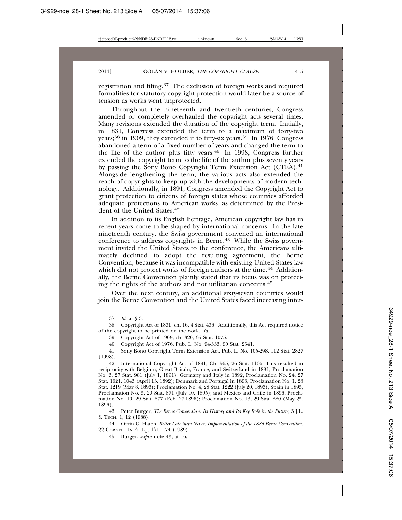registration and filing.37 The exclusion of foreign works and required formalities for statutory copyright protection would later be a source of tension as works went unprotected.

Throughout the nineteenth and twentieth centuries, Congress amended or completely overhauled the copyright acts several times. Many revisions extended the duration of the copyright term. Initially, in 1831, Congress extended the term to a maximum of forty-two years;<sup>38</sup> in 1909, they extended it to fifty-six years.<sup>39</sup> In 1976, Congress abandoned a term of a fixed number of years and changed the term to the life of the author plus fifty years.<sup>40</sup> In 1998, Congress further extended the copyright term to the life of the author plus seventy years by passing the Sony Bono Copyright Term Extension Act (CTEA).<sup>41</sup> Alongside lengthening the term, the various acts also extended the reach of copyrights to keep up with the developments of modern technology. Additionally, in 1891, Congress amended the Copyright Act to grant protection to citizens of foreign states whose countries afforded adequate protections to American works, as determined by the President of the United States.42

In addition to its English heritage, American copyright law has in recent years come to be shaped by international concerns. In the late nineteenth century, the Swiss government convened an international conference to address copyrights in Berne.<sup>43</sup> While the Swiss government invited the United States to the conference, the Americans ultimately declined to adopt the resulting agreement, the Berne Convention, because it was incompatible with existing United States law which did not protect works of foreign authors at the time.<sup>44</sup> Additionally, the Berne Convention plainly stated that its focus was on protecting the rights of the authors and not utilitarian concerns.45

Over the next century, an additional sixty-seven countries would join the Berne Convention and the United States faced increasing inter-

<sup>37.</sup> *Id.* at § 3.

<sup>38.</sup> Copyright Act of 1831, ch. 16, 4 Stat. 436. Additionally, this Act required notice of the copyright to be printed on the work. *Id.*

<sup>39.</sup> Copyright Act of 1909, ch. 320, 35 Stat. 1075.

<sup>40.</sup> Copyright Act of 1976, Pub. L. No. 94-553, 90 Stat. 2541.

<sup>41.</sup> Sony Bono Copyright Term Extension Act, Pub. L. No. 105-298, 112 Stat. 2827 (1998).

<sup>42.</sup> International Copyright Act of 1891, Ch. 565, 26 Stat. 1106. This resulted in reciprocity with Belgium, Great Britain, France, and Switzerland in 1891, Proclamation No. 3, 27 Stat. 981 (July 1, 1891); Germany and Italy in 1892, Proclamation No. 24, 27 Stat. 1021, 1043 (April 15, 1892); Denmark and Portugal in 1893, Proclamation No. 1, 28 Stat. 1219 (May 8, 1893); Proclamation No. 4, 28 Stat. 1222 (July 20, 1893), Spain in 1895, Proclamation No. 5, 29 Stat. 871 (July 10, 1895); and Mexico and Chile in 1896, Proclamation No. 10, 29 Stat. 877 (Feb. 27,1896); Proclamation No. 13, 29 Stat. 880 (May 25, 1896).

<sup>43.</sup> Peter Burger, *The Berne Convention: Its History and Its Key Role in the Future*, 3 J.L. & TECH. 1, 12 (1988).

<sup>44.</sup> Orrin G. Hatch, *Better Late than Never: Implementation of the 1886 Berne Convention*, 22 CORNELL INT'L L.J. 171, 174 (1989).

<sup>45.</sup> Burger, *supra* note 43, at 16.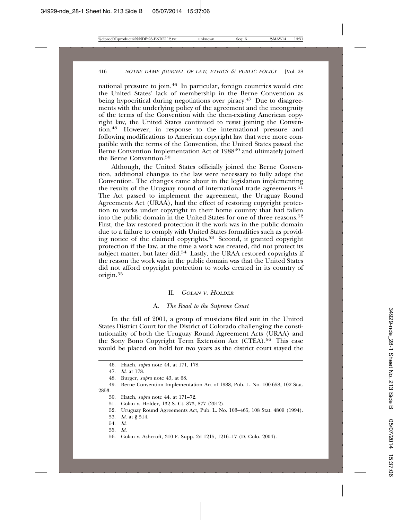national pressure to join.46 In particular, foreign countries would cite the United States' lack of membership in the Berne Convention as being hypocritical during negotiations over piracy.<sup>47</sup> Due to disagreements with the underlying policy of the agreement and the incongruity of the terms of the Convention with the then-existing American copyright law, the United States continued to resist joining the Convention.48 However, in response to the international pressure and following modifications to American copyright law that were more compatible with the terms of the Convention, the United States passed the Berne Convention Implementation Act of 198849 and ultimately joined the Berne Convention.50

Although, the United States officially joined the Berne Convention, additional changes to the law were necessary to fully adopt the Convention. The changes came about in the legislation implementing the results of the Uruguay round of international trade agreements.<sup>51</sup> The Act passed to implement the agreement, the Uruguay Round Agreements Act (URAA), had the effect of restoring copyright protection to works under copyright in their home country that had fallen into the public domain in the United States for one of three reasons.52 First, the law restored protection if the work was in the public domain due to a failure to comply with United States formalities such as providing notice of the claimed copyrights.53 Second, it granted copyright protection if the law, at the time a work was created, did not protect its subject matter, but later did.<sup>54</sup> Lastly, the URAA restored copyrights if the reason the work was in the public domain was that the United States did not afford copyright protection to works created in its country of origin.<sup>55</sup>

#### II. <sup>G</sup>OLAN <sup>V</sup>. HOLDER

#### A. *The Road to the Supreme Court*

In the fall of 2001, a group of musicians filed suit in the United States District Court for the District of Colorado challenging the constitutionality of both the Uruguay Round Agreement Acts (URAA) and the Sony Bono Copyright Term Extension Act (CTEA).<sup>56</sup> This case would be placed on hold for two years as the district court stayed the

56. Golan v. Ashcroft*,* 310 F. Supp. 2d 1215, 1216–17 (D. Colo. 2004).

<sup>46.</sup> Hatch, *supra* note 44, at 171, 178.

<sup>47.</sup> *Id.* at 178.

<sup>48.</sup> Burger, *supra* note 43, at 68.

<sup>49.</sup> Berne Convention Implementation Act of 1988, Pub. L. No. 100-658, 102 Stat. 2853.

<sup>50.</sup> Hatch, *supra* note 44, at 171–72.

<sup>51.</sup> Golan v. Holder, 132 S. Ct. 873, 877 (2012).

<sup>52.</sup> Uruguay Round Agreements Act, Pub. L. No. 103–465, 108 Stat. 4809 (1994).

<sup>53.</sup> *Id.* at § 514.

<sup>54.</sup> *Id*.

<sup>55.</sup> *Id.*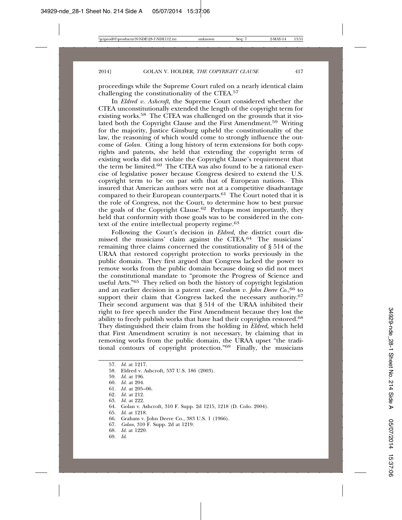proceedings while the Supreme Court ruled on a nearly identical claim challenging the constitutionality of the CTEA.57

In *Eldred v. Ashcroft*, the Supreme Court considered whether the CTEA unconstitutionally extended the length of the copyright term for existing works.58 The CTEA was challenged on the grounds that it violated both the Copyright Clause and the First Amendment.59 Writing for the majority, Justice Ginsburg upheld the constitutionality of the law, the reasoning of which would come to strongly influence the outcome of *Golan.* Citing a long history of term extensions for both copyrights and patents, she held that extending the copyright term of existing works did not violate the Copyright Clause's requirement that the term be limited.60 The CTEA was also found to be a rational exercise of legislative power because Congress desired to extend the U.S. copyright term to be on par with that of European nations. This insured that American authors were not at a competitive disadvantage compared to their European counterparts.<sup>61</sup> The Court noted that it is the role of Congress, not the Court, to determine how to best pursue the goals of the Copyright Clause.<sup>62</sup> Perhaps most importantly, they held that conformity with those goals was to be considered in the context of the entire intellectual property regime.63

Following the Court's decision in *Eldred*, the district court dismissed the musicians' claim against the CTEA.64 The musicians' remaining three claims concerned the constitutionality of § 514 of the URAA that restored copyright protection to works previously in the public domain. They first argued that Congress lacked the power to remove works from the public domain because doing so did not meet the constitutional mandate to "promote the Progress of Science and useful Arts."65 They relied on both the history of copyright legislation and an earlier decision in a patent case, *Graham v. John Deere Co.*, 66 to support their claim that Congress lacked the necessary authority.<sup>67</sup> Their second argument was that § 514 of the URAA inhibited their right to free speech under the First Amendment because they lost the ability to freely publish works that have had their copyrights restored.68 They distinguished their claim from the holding in *Eldred*, which held that First Amendment scrutiny is not necessary, by claiming that in removing works from the public domain, the URAA upset "the traditional contours of copyright protection."69 Finally, the musicians

<sup>57.</sup> *Id*. at 1217.

<sup>58.</sup> Eldred v. Ashcroft*,* 537 U.S. 186 (2003).

<sup>59.</sup> *Id.* at 196.

<sup>60.</sup> *Id.* at 204.

<sup>61.</sup> *Id.* at 205–06.

<sup>62.</sup> *Id.* at 212.

<sup>63.</sup> *Id.* at 222.

<sup>64.</sup> Golan v. Ashcroft, 310 F. Supp. 2d 1215, 1218 (D. Colo. 2004).

<sup>65.</sup> *Id*. at 1218.

<sup>66.</sup> Graham v. John Deere Co., 383 U.S. 1 (1966).

<sup>67.</sup> *Golan*, 310 F. Supp. 2d at 1219.

<sup>68.</sup> *Id*. at 1220.

<sup>69.</sup> *Id*.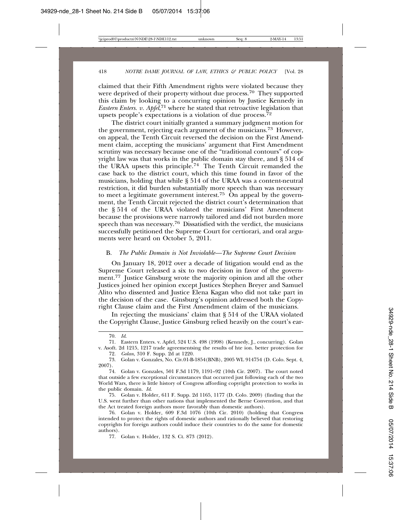claimed that their Fifth Amendment rights were violated because they were deprived of their property without due process.<sup>70</sup> They supported this claim by looking to a concurring opinion by Justice Kennedy in *Eastern Enters. v. Apfel*, 71 where he stated that retroactive legislation that upsets people's expectations is a violation of due process.<sup> $72$ </sup>

The district court initially granted a summary judgment motion for the government, rejecting each argument of the musicians.73 However, on appeal, the Tenth Circuit reversed the decision on the First Amendment claim, accepting the musicians' argument that First Amendment scrutiny was necessary because one of the "traditional contours" of copyright law was that works in the public domain stay there, and § 514 of the URAA upsets this principle.74 The Tenth Circuit remanded the case back to the district court, which this time found in favor of the musicians, holding that while § 514 of the URAA was a content-neutral restriction, it did burden substantially more speech than was necessary to meet a legitimate government interest.<sup>75</sup> On appeal by the government, the Tenth Circuit rejected the district court's determination that the § 514 of the URAA violated the musicians' First Amendment because the provisions were narrowly tailored and did not burden more speech than was necessary.76 Dissatisfied with the verdict, the musicians successfully petitioned the Supreme Court for certiorari, and oral arguments were heard on October 5, 2011.

#### B. *The Public Domain is Not Inviolable—The Supreme Court Decision*

On January 18, 2012 over a decade of litigation would end as the Supreme Court released a six to two decision in favor of the government.<sup>77</sup> Justice Ginsburg wrote the majority opinion and all the other Justices joined her opinion except Justices Stephen Breyer and Samuel Alito who dissented and Justice Elena Kagan who did not take part in the decision of the case. Ginsburg's opinion addressed both the Copyright Clause claim and the First Amendment claim of the musicians.

In rejecting the musicians' claim that § 514 of the URAA violated the Copyright Clause, Justice Ginsburg relied heavily on the court's ear-

<sup>70.</sup> *Id*.

<sup>71.</sup> Eastern Enters. v. Apfel, 524 U.S. 498 (1998) (Kennedy, J., concurring). Golan v. Asoft. 2d 1215, 1217 trade agreementsing the results of hte ion. better protection for

<sup>72.</sup> *Golan*, 310 F. Supp. 2d at 1220.

<sup>73.</sup> Golan v. Gonzales, No. Civ.01-B-1854(BNB), 2005 WL 914754 (D. Colo. Sept. 4, 2007).

<sup>74.</sup> Golan v. Gonzales*,* 501 F.3d 1179, 1191–92 (10th Cir. 2007). The court noted that outside a few exceptional circumstances that occurred just following each of the two World Wars, there is little history of Congress affording copyright protection to works in the public domain. *Id*.

<sup>75.</sup> Golan v. Holder*,* 611 F. Supp. 2d 1165, 1177 (D. Colo. 2009) (finding that the U.S. went further than other nations that implemented the Berne Convention, and that the Act treated foreign authors more favorably than domestic authors).

<sup>76.</sup> Golan v. Holder*,* 609 F.3d 1076 (10th Cir. 2010) (holding that Congress intended to protect the rights of domestic authors and rationally believed that restoring copyrights for foreign authors could induce their countries to do the same for domestic authors).

<sup>77.</sup> Golan v. Holder, 132 S. Ct. 873 (2012).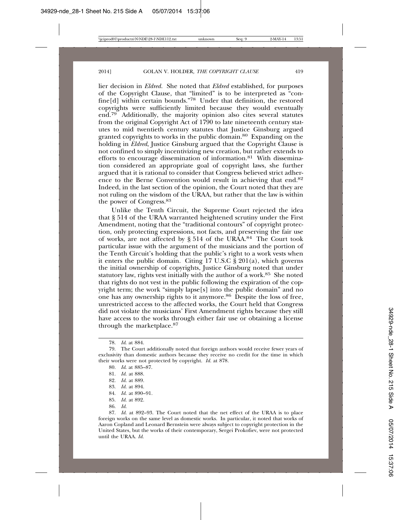lier decision in *Eldred.* She noted that *Eldred* established, for purposes of the Copyright Clause, that "limited" is to be interpreted as "confine[d] within certain bounds."78 Under that definition, the restored copyrights were sufficiently limited because they would eventually end.79 Additionally, the majority opinion also cites several statutes from the original Copyright Act of 1790 to late nineteenth century statutes to mid twentieth century statutes that Justice Ginsburg argued granted copyrights to works in the public domain.<sup>80</sup> Expanding on the holding in *Eldred*, Justice Ginsburg argued that the Copyright Clause is not confined to simply incentivizing new creation, but rather extends to efforts to encourage dissemination of information.<sup>81</sup> With dissemination considered an appropriate goal of copyright laws, she further argued that it is rational to consider that Congress believed strict adherence to the Berne Convention would result in achieving that end.82 Indeed, in the last section of the opinion, the Court noted that they are not ruling on the wisdom of the URAA, but rather that the law is within the power of Congress.83

Unlike the Tenth Circuit, the Supreme Court rejected the idea that § 514 of the URAA warranted heightened scrutiny under the First Amendment, noting that the "traditional contours" of copyright protection, only protecting expressions, not facts, and preserving the fair use of works, are not affected by § 514 of the URAA.84 The Court took particular issue with the argument of the musicians and the portion of the Tenth Circuit's holding that the public's right to a work vests when it enters the public domain. Citing  $17 \text{ U.S.C}$   $\bar{\$}$  201(a), which governs the initial ownership of copyrights, Justice Ginsburg noted that under statutory law, rights vest initially with the author of a work.<sup>85</sup> She noted that rights do not vest in the public following the expiration of the copyright term; the work "simply lapse[s] into the public domain" and no one has any ownership rights to it anymore.86 Despite the loss of free, unrestricted access to the affected works, the Court held that Congress did not violate the musicians' First Amendment rights because they still have access to the works through either fair use or obtaining a license through the marketplace.87

- 84. *Id.* at 890–91.
- 85. *Id.* at 892.

<sup>78.</sup> *Id*. at 884.

<sup>79.</sup> The Court additionally noted that foreign authors would receive fewer years of exclusivity than domestic authors because they receive no credit for the time in which their works were not protected by copyright. *Id.* at 878.

<sup>80.</sup> *Id*. at 885–87.

<sup>81.</sup> *Id.* at 888.

<sup>82.</sup> *Id.* at 889.

<sup>83.</sup> *Id.* at 894.

<sup>86.</sup> *Id.*

<sup>87.</sup> *Id.* at 892–93. The Court noted that the net effect of the URAA is to place foreign works on the same level as domestic works. In particular, it noted that works of Aaron Copland and Leonard Bernstein were always subject to copyright protection in the United States, but the works of their contemporary, Sergei Prokofiev, were not protected until the URAA. *Id.*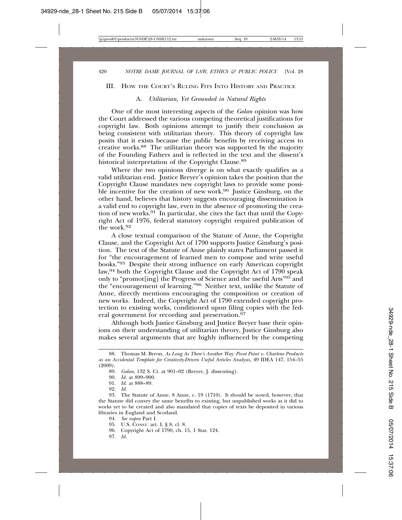#### III. HOW THE COURT'S RULING FITS INTO HISTORY AND PRACTICE

#### A. *Utilitarian, Yet Grounded in Natural Rights*

One of the most interesting aspects of the *Golan* opinion was how the Court addressed the various competing theoretical justifications for copyright law. Both opinions attempt to justify their conclusion as being consistent with utilitarian theory. This theory of copyright law posits that it exists because the public benefits by receiving access to creative works.88 The utilitarian theory was supported by the majority of the Founding Fathers and is reflected in the text and the dissent's historical interpretation of the Copyright Clause.89

Where the two opinions diverge is on what exactly qualifies as a valid utilitarian end. Justice Breyer's opinion takes the position that the Copyright Clause mandates new copyright laws to provide some possible incentive for the creation of new work.<sup>90</sup> Justice Ginsburg, on the other hand, believes that history suggests encouraging dissemination is a valid end to copyright law, even in the absence of promoting the creation of new works.91 In particular, she cites the fact that until the Copyright Act of 1976, federal statutory copyright required publication of the work.92

A close textual comparison of the Statute of Anne, the Copyright Clause, and the Copyright Act of 1790 supports Justice Ginsburg's position. The text of the Statute of Anne plainly states Parliament passed it for "the encouragement of learned men to compose and write useful books."93 Despite their strong influence on early American copyright law,94 both the Copyright Clause and the Copyright Act of 1790 speak only to "promot[ing] the Progress of Science and the useful Arts"95 and the "encouragement of learning."96 Neither text, unlike the Statute of Anne, directly mentions encouraging the composition or creation of new works. Indeed, the Copyright Act of 1790 extended copyright protection to existing works, conditioned upon filing copies with the federal government for recording and preservation. $57$ 

Although both Justice Ginsburg and Justice Breyer base their opinions on their understanding of utilitarian theory, Justice Ginsburg also makes several arguments that are highly influenced by the competing

90. *Id.* at 899–900.

91. *Id.* at 888–89.

92. *Id.*

97. *Id*.

<sup>88.</sup> Thomas M. Byron, *As Long As There's Another Way: Pivot Point v. Charlene Products as an Accidental Template for Creativity-Driven Useful Articles Analysis,* 49 IDEA 147, 154–55 (2009).

<sup>89.</sup> *Golan*, 132 S. Ct. at 901–02 (Breyer, J. dissenting).

<sup>93.</sup> The Statute of Anne, 8 Anne, c. 19 (1710). It should be noted, however, that the Statute did convey the same benefits to existing, but unpublished works as it did to works yet to be created and also mandated that copies of texts be deposited in various libraries in England and Scotland.

<sup>94.</sup> *See supra* Part I.

<sup>95.</sup> U.S. CONST. art. I, § 8, cl. 8.

<sup>96.</sup> Copyright Act of 1790, ch. 15, 1 Stat. 124.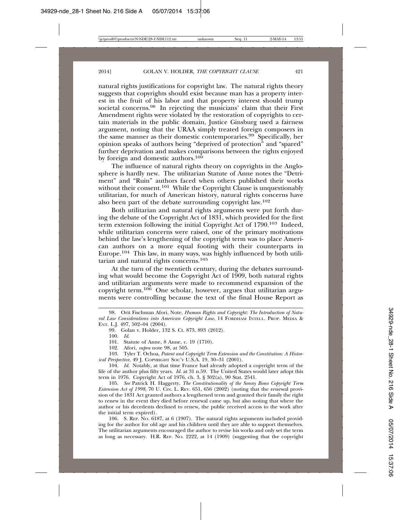natural rights justifications for copyright law. The natural rights theory suggests that copyrights should exist because man has a property interest in the fruit of his labor and that property interest should trump societal concerns.<sup>98</sup> In rejecting the musicians' claim that their First Amendment rights were violated by the restoration of copyrights to certain materials in the public domain, Justice Ginsburg used a fairness argument, noting that the URAA simply treated foreign composers in the same manner as their domestic contemporaries.99 Specifically, her opinion speaks of authors being "deprived of protection" and "spared" further deprivation and makes comparisons between the rights enjoyed by foreign and domestic authors.<sup>100</sup>

The influence of natural rights theory on copyrights in the Anglosphere is hardly new. The utilitarian Statute of Anne notes the "Detriment" and "Ruin" authors faced when others published their works without their consent.<sup>101</sup> While the Copyright Clause is unquestionably utilitarian, for much of American history, natural rights concerns have also been part of the debate surrounding copyright law.102

Both utilitarian and natural rights arguments were put forth during the debate of the Copyright Act of 1831, which provided for the first term extension following the initial Copyright Act of 1790.103 Indeed, while utilitarian concerns were raised, one of the primary motivations behind the law's lengthening of the copyright term was to place American authors on a more equal footing with their counterparts in Europe.104 This law, in many ways, was highly influenced by both utilitarian and natural rights concerns.105

At the turn of the twentieth century, during the debates surrounding what would become the Copyright Act of 1909, both natural rights and utilitarian arguments were made to recommend expansion of the copyright term.<sup>106</sup> One scholar, however, argues that utilitarian arguments were controlling because the text of the final House Report as

100. *Id*.

101. Statute of Anne, 8 Anne, c. 19 (1710).

102. Afori, *supra* note 98, at 505.

103. Tyler T. Ochoa, *Patent and Copyright Term Extension and the Constitution: A Historical Perspective*, 49 J. COPYRIGHT SOC'Y U.S.A. 19, 30–31 (2001).

104. *Id*. Notably, at that time France had already adopted a copyright term of the life of the author plus fifty years. *Id.* at 31 n.59. The United States would later adopt this term in 1976. Copyright Act of 1976, ch. 3, § 302(a), 90 Stat. 2541.

105. *See* Patrick H. Haggerty, *The Constitutionality of the Sonny Bono Copyright Term Extension Act of 1998*, 70 U. Cm. L. Rev. 651, 656 (2002) (noting that the renewal provision of the 1831 Act granted authors a lengthened term and granted their family the right to renew in the event they died before renewal came up, but also noting that where the author or his decedents declined to renew, the public received access to the work after the initial term expired).

106. S. REP. NO. 6187, at 6 (1907). The natural rights arguments included providing for the author for old age and his children until they are able to support themselves. The utilitarian arguments encouraged the author to revise his works and only set the term as long as necessary. H.R. REP. NO. 2222, at 14 (1909) (suggesting that the copyright

<sup>98.</sup> Orit Fischman Afori, Note, *Human Rights and Copyright: The Introduction of Natural Law Considerations into American Copyright Law*, 14 FORDHAM INTELL. PROP. MEDIA & ENT. L.J. 497, 502–04 (2004).

<sup>99.</sup> Golan v. Holder, 132 S. Ct. 873, 893 (2012).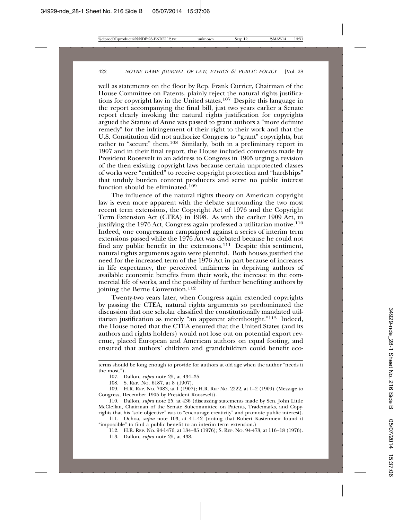well as statements on the floor by Rep. Frank Currier, Chairman of the House Committee on Patents, plainly reject the natural rights justifications for copyright law in the United states.107 Despite this language in the report accompanying the final bill, just two years earlier a Senate report clearly invoking the natural rights justification for copyrights argued the Statute of Anne was passed to grant authors a "more definite remedy" for the infringement of their right to their work and that the U.S. Constitution did not authorize Congress to "grant" copyrights, but rather to "secure" them.<sup>108</sup> Similarly, both in a preliminary report in 1907 and in their final report, the House included comments made by President Roosevelt in an address to Congress in 1905 urging a revision of the then existing copyright laws because certain unprotected classes of works were "entitled" to receive copyright protection and "hardships" that unduly burden content producers and serve no public interest function should be eliminated.109

The influence of the natural rights theory on American copyright law is even more apparent with the debate surrounding the two most recent term extensions, the Copyright Act of 1976 and the Copyright Term Extension Act (CTEA) in 1998. As with the earlier 1909 Act, in justifying the 1976 Act, Congress again professed a utilitarian motive.<sup>110</sup> Indeed, one congressman campaigned against a series of interim term extensions passed while the 1976 Act was debated because he could not find any public benefit in the extensions.111 Despite this sentiment, natural rights arguments again were plentiful. Both houses justified the need for the increased term of the 1976 Act in part because of increases in life expectancy, the perceived unfairness in depriving authors of available economic benefits from their work, the increase in the commercial life of works, and the possibility of further benefiting authors by joining the Berne Convention.<sup>112</sup>

Twenty-two years later, when Congress again extended copyrights by passing the CTEA, natural rights arguments so predominated the discussion that one scholar classified the constitutionally mandated utilitarian justification as merely "an apparent afterthought."113 Indeed, the House noted that the CTEA ensured that the United States (and its authors and rights holders) would not lose out on potential export revenue, placed European and American authors on equal footing, and ensured that authors' children and grandchildren could benefit eco-

terms should be long enough to provide for authors at old age when the author "needs it the most.").

<sup>107.</sup> Dallon, *supra* note 25, at 434–35.

<sup>108.</sup> S. REP. NO. 6187, at 8 (1907).

<sup>109.</sup> H.R. REP. NO. 7083, at 1 (1907); H.R. REP NO. 2222, at 1–2 (1909) (Message to Congress, December 1905 by President Roosevelt).

<sup>110.</sup> Dallon, *supra* note 25, at 436 (discussing statements made by Sen. John Little McClellan, Chairman of the Senate Subcommittee on Patents, Trademarks, and Copyrights that his "sole objective" was to "encourage creativity" and promote public interest).

<sup>111.</sup> Ochoa, *supra* note 103, at 41–42 (noting that Robert Kastenmeir found it "impossible" to find a public benefit to an interim term extension.)

<sup>112.</sup> H.R. REP. NO. 94-1476, at 134–35 (1976); S. REP. NO. 94-473, at 116–18 (1976).

<sup>113.</sup> Dallon, *supra* note 25, at 438.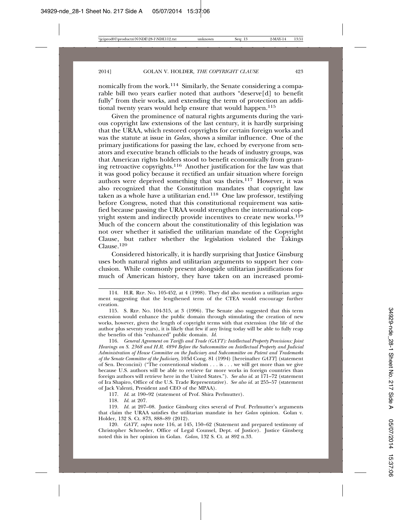nomically from the work.114 Similarly, the Senate considering a comparable bill two years earlier noted that authors "deserve[d] to benefit fully" from their works, and extending the term of protection an additional twenty years would help ensure that would happen.<sup>115</sup>

Given the prominence of natural rights arguments during the various copyright law extensions of the last century, it is hardly surprising that the URAA, which restored copyrights for certain foreign works and was the statute at issue in *Golan*, shows a similar influence. One of the primary justifications for passing the law, echoed by everyone from senators and executive branch officials to the heads of industry groups, was that American rights holders stood to benefit economically from granting retroactive copyrights.116 Another justification for the law was that it was good policy because it rectified an unfair situation where foreign authors were deprived something that was theirs.117 However, it was also recognized that the Constitution mandates that copyright law taken as a whole have a utilitarian end.118 One law professor, testifying before Congress, noted that this constitutional requirement was satisfied because passing the URAA would strengthen the international copyright system and indirectly provide incentives to create new works.<sup>119</sup> Much of the concern about the constitutionality of this legislation was not over whether it satisfied the utilitarian mandate of the Copyright Clause, but rather whether the legislation violated the Takings Clause.<sup>120</sup>

Considered historically, it is hardly surprising that Justice Ginsburg uses both natural rights and utilitarian arguments to support her conclusion. While commonly present alongside utilitarian justifications for much of American history, they have taken on an increased promi-

117. *Id*. at 190–92 (statement of Prof. Shira Perlmutter).

118. *Id*. at 207.

119. *Id.* at 207–08. Justice Ginsburg cites several of Prof. Perlmutter's arguments that claim the URAA satisfies the utilitarian mandate in her *Golan* opinion. Golan v. Holder*,* 132 S. Ct. 873, 888–89 (2012).

120. *GATT*, *supra* note 116, at 145, 150–62 (Statement and prepared testimony of Christopher Schroeder, Office of Legal Counsel, Dept. of Justice). Justice Ginsberg noted this in her opinion in Golan. *Golan*, 132 S. Ct. at 892 n.33.

<sup>114.</sup> H.R. REP. NO. 105-452, at 4 (1998). They did also mention a utilitarian argument suggesting that the lengthened term of the CTEA would encourage further creation.

<sup>115.</sup> S. REP. NO. 104-315, at 3 (1996). The Senate also suggested that this term extension would enhance the public domain through stimulating the creation of new works, however, given the length of copyright terms with that extension (the life of the author plus seventy years), it is likely that few if any living today will be able to fully reap the benefits of this "enhanced" public domain. *Id.*

<sup>116.</sup> *General Agreement on Tariffs and Trade (GATT): Intellectual Property Provisions: Joint Hearings on S. 2368 and H.R. 4894 Before the Subcommittee on Intellectual Property and Judicial Administration of House Committee on the Judiciary and Subcommittee on Patent and Trademarks of the Senate Committee of the Judiciary*, 103d Cong. 81 (1994) [hereinafter *GATT*] (statement of Sen. Deconcini) ("The conventional wisdom . . . is . . . we will get more than we give because U.S. authors will be able to retrieve far more works in foreign countries than foreign authors will retrieve here in the United States."). *See also id*. at 171–72 (statement of Ira Shapiro, Office of the U.S. Trade Representative). *See also id.* at 255–57 (statement of Jack Valenti, President and CEO of the MPAA).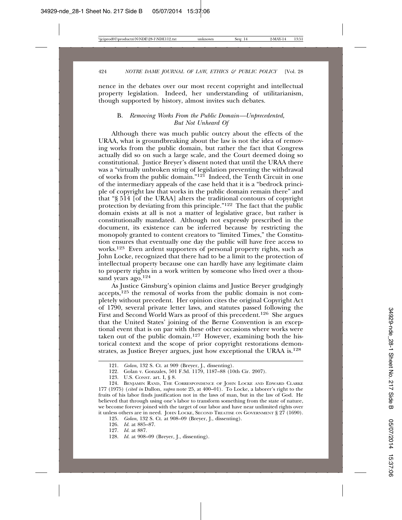nence in the debates over our most recent copyright and intellectual property legislation. Indeed, her understanding of utilitarianism, though supported by history, almost invites such debates.

#### B. *Removing Works From the Public Domain—Unprecedented, But Not Unheard Of*

Although there was much public outcry about the effects of the URAA, what is groundbreaking about the law is not the idea of removing works from the public domain, but rather the fact that Congress actually did so on such a large scale, and the Court deemed doing so constitutional. Justice Breyer's dissent noted that until the URAA there was a "virtually unbroken string of legislation preventing the withdrawal of works from the public domain."121 Indeed, the Tenth Circuit in one of the intermediary appeals of the case held that it is a "bedrock principle of copyright law that works in the public domain remain there" and that "§ 514 [of the URAA] alters the traditional contours of copyright protection by deviating from this principle."122 The fact that the public domain exists at all is not a matter of legislative grace, but rather is constitutionally mandated. Although not expressly prescribed in the document, its existence can be inferred because by restricting the monopoly granted to content creators to "limited Times," the Constitution ensures that eventually one day the public will have free access to works.123 Even ardent supporters of personal property rights, such as John Locke, recognized that there had to be a limit to the protection of intellectual property because one can hardly have any legitimate claim to property rights in a work written by someone who lived over a thousand years ago.<sup>124</sup>

As Justice Ginsburg's opinion claims and Justice Breyer grudgingly accepts,125 the removal of works from the public domain is not completely without precedent. Her opinion cites the original Copyright Act of 1790, several private letter laws, and statutes passed following the First and Second World Wars as proof of this precedent.126 She argues that the United States' joining of the Berne Convention is an exceptional event that is on par with these other occasions where works were taken out of the public domain.127 However, examining both the historical context and the scope of prior copyright restorations demonstrates, as Justice Breyer argues, just how exceptional the URAA is.128

<sup>121.</sup> *Golan*, 132 S. Ct. at 909 (Breyer, J., dissenting).

<sup>122.</sup> Golan v. Gonzales, 501 F.3d. 1179, 1187–88 (10th Cir. 2007).

<sup>123.</sup> U.S. CONST. art. I, § 8.

<sup>124.</sup> BENJAMIN RAND, THE CORRESPONDENCE OF JOHN LOCKE AND EDWARD CLARKE 177 (1975) (*cited in* Dallon, *supra* note 25, at 400–01). To Locke, a laborer's right to the fruits of his labor finds justification not in the laws of man, but in the law of God. He believed that through using one's labor to transform something from the state of nature, we become forever joined with the target of our labor and have near unlimited rights over it unless others are in need. JOHN LOCKE, SECOND TREATISE ON GOVERNMENT § 27 (1690).

<sup>125.</sup> *Golan*, 132 S. Ct. at 908–09 (Breyer, J., dissenting).

<sup>126.</sup> *Id.* at 885–87.

<sup>127.</sup> *Id.* at 887.

<sup>128.</sup> *Id.* at 908–09 (Breyer, J., dissenting).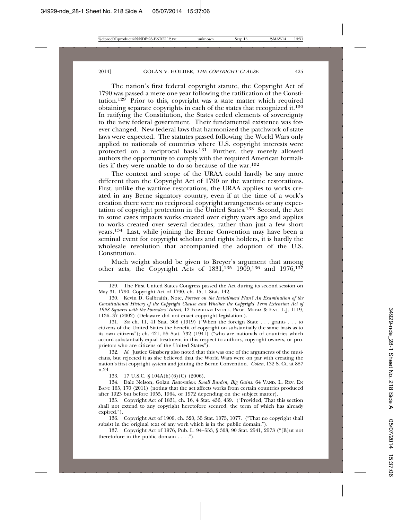The nation's first federal copyright statute, the Copyright Act of 1790 was passed a mere one year following the ratification of the Constitution.<sup>129</sup> Prior to this, copyright was a state matter which required obtaining separate copyrights in each of the states that recognized it.130 In ratifying the Constitution, the States ceded elements of sovereignty to the new federal government. Their fundamental existence was forever changed. New federal laws that harmonized the patchwork of state laws were expected. The statutes passed following the World Wars only applied to nationals of countries where U.S. copyright interests were protected on a reciprocal basis.131 Further, they merely allowed authors the opportunity to comply with the required American formalities if they were unable to do so because of the war.132

The context and scope of the URAA could hardly be any more different than the Copyright Act of 1790 or the wartime restorations. First, unlike the wartime restorations, the URAA applies to works created in any Berne signatory country, even if at the time of a work's creation there were no reciprocal copyright arrangements or any expectation of copyright protection in the United States.133 Second, the Act in some cases impacts works created over eighty years ago and applies to works created over several decades, rather than just a few short years.134 Last, while joining the Berne Convention may have been a seminal event for copyright scholars and rights holders, it is hardly the wholesale revolution that accompanied the adoption of the U.S. Constitution.

Much weight should be given to Breyer's argument that among other acts, the Copyright Acts of  $1831,^{135}$   $1909,^{136}$  and  $1976,^{137}$ 

131. *See* ch. 11, 41 Stat. 368 (1919) ("When the foreign State . . . grants . . . to citizens of the United States the benefit of copyright on substantially the same basis as to its own citizens"); ch. 421, 55 Stat. 732 (1941) ("who are nationals of countries which accord substantially equal treatment in this respect to authors, copyright owners, or proprietors who are citizens of the United States").

132. *Id.* Justice Ginsberg also noted that this was one of the arguments of the musicians, but rejected it as she believed that the World Wars were on par with creating the nation's first copyright system and joining the Berne Convention. *Golan*, 132 S. Ct. at 887 n.24.

133. 17 U.S.C. § 104A(h)(6)(C) (2006).

134. Dale Nelson, Golan *Restoration: Small Burden, Big Gains.* 64 VAND. L. REV. EN BANC 165, 170 (2011) (noting that the act affects works from certain countries produced after 1923 but before 1955, 1964, or 1972 depending on the subject matter).

135. Copyright Act of 1831, ch. 16, 4 Stat. 436, 439. ("Provided, That this section shall not extend to any copyright heretofore secured, the term of which has already expired.").

136. Copyright Act of 1909, ch. 320, 35 Stat. 1075, 1077. ("That no copyright shall subsist in the original text of any work which is in the public domain.").

137. Copyright Act of 1976, Pub. L. 94–553, § 303, 90 Stat. 2541, 2573 ("[B]ut not theretofore in the public domain . . . .").

<sup>129.</sup> The First United States Congress passed the Act during its second session on May 31, 1790. Copyright Act of 1790, ch. 15, 1 Stat. 142.

<sup>130.</sup> Kevin D. Galbraith, Note, *Forever on the Installment Plan? An Examination of the Constitutional History of the Copyright Clause and Whether the Copyright Term Extension Act of 1998 Squares with the Founders' Intent*, 12 FORDHAM INTELL. PROP. MEDIA & ENT. L.J. 1119, 1136–37 (2002) (Delaware did not enact copyright legislation.).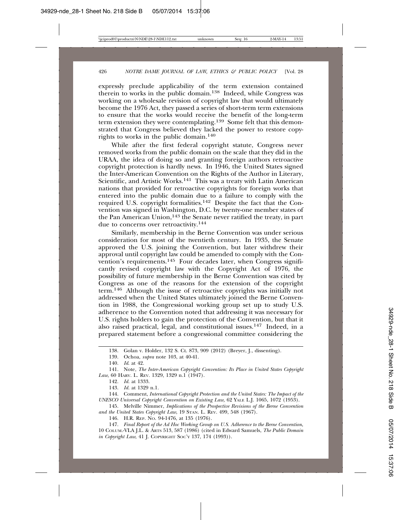expressly preclude applicability of the term extension contained therein to works in the public domain.138 Indeed, while Congress was working on a wholesale revision of copyright law that would ultimately become the 1976 Act, they passed a series of short-term term extensions to ensure that the works would receive the benefit of the long-term term extension they were contemplating.<sup>139</sup> Some felt that this demonstrated that Congress believed they lacked the power to restore copyrights to works in the public domain.140

While after the first federal copyright statute, Congress never removed works from the public domain on the scale that they did in the URAA, the idea of doing so and granting foreign authors retroactive copyright protection is hardly news. In 1946, the United States signed the Inter-American Convention on the Rights of the Author in Literary, Scientific, and Artistic Works.<sup>141</sup> This was a treaty with Latin American nations that provided for retroactive copyrights for foreign works that entered into the public domain due to a failure to comply with the required U.S. copyright formalities.142 Despite the fact that the Convention was signed in Washington, D.C. by twenty-one member states of the Pan American Union,143 the Senate never ratified the treaty, in part due to concerns over retroactivity.144

Similarly, membership in the Berne Convention was under serious consideration for most of the twentieth century. In 1935, the Senate approved the U.S. joining the Convention, but later withdrew their approval until copyright law could be amended to comply with the Convention's requirements.<sup>145</sup> Four decades later, when Congress significantly revised copyright law with the Copyright Act of 1976, the possibility of future membership in the Berne Convention was cited by Congress as one of the reasons for the extension of the copyright term.146 Although the issue of retroactive copyrights was initially not addressed when the United States ultimately joined the Berne Convention in 1988, the Congressional working group set up to study U.S. adherence to the Convention noted that addressing it was necessary for U.S. rights holders to gain the protection of the Convention, but that it also raised practical, legal, and constitutional issues.147 Indeed, in a prepared statement before a congressional committee considering the

146. H.R. REP. NO. 94-1476, at 135 (1976).

147. *Final Report of the Ad Hoc Working Group on U.S. Adherence to the Berne Convention*, 10 COLUM.-VLA J.L. & ARTS 513, 587 (1986) (cited in Edward Samuels, *The Public Domain in Copyright Law*, 41 J. COPYRIGHT SOC'Y 137, 174 (1993)).

<sup>138.</sup> Golan v. Holder, 132 S. Ct. 873, 909 (2012) (Breyer, J., dissenting).

<sup>139.</sup> Ochoa, *supra* note 103, at 40-41.

<sup>140.</sup> *Id*. at 42.

<sup>141.</sup> Note, *The Inter-American Copyright Convention: Its Place in United States Copyright Law*, 60 HARV. L. REV. 1329, 1329 n.1 (1947).

<sup>142.</sup> *Id.* at 1333.

<sup>143.</sup> *Id.* at 1329 n.1.

<sup>144.</sup> Comment, *International Copyright Protection and the United States: The Impact of the UNESCO Universal Copyright Convention on Existing Law,* 62 YALE L.J. 1065, 1072 (1953).

<sup>145.</sup> Melville Nimmer, *Implications of the Prospective Revisions of the Berne Convention and the United States Copyright Law*, 19 STAN. L. REV. 499, 548 (1967).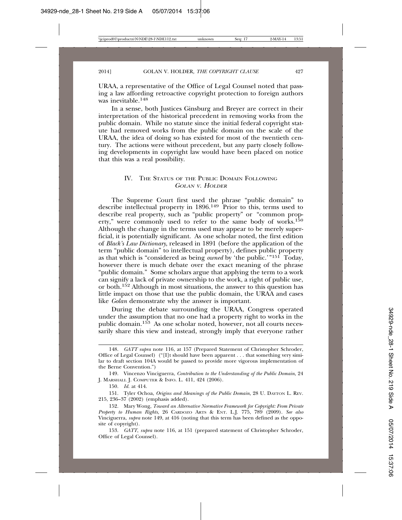URAA, a representative of the Office of Legal Counsel noted that passing a law affording retroactive copyright protection to foreign authors was inevitable 148

In a sense, both Justices Ginsburg and Breyer are correct in their interpretation of the historical precedent in removing works from the public domain. While no statute since the initial federal copyright statute had removed works from the public domain on the scale of the URAA, the idea of doing so has existed for most of the twentieth century. The actions were without precedent, but any party closely following developments in copyright law would have been placed on notice that this was a real possibility.

#### IV. THE STATUS OF THE PUBLIC DOMAIN FOLLOWING GOLAN <sup>V</sup>. HOLDER

The Supreme Court first used the phrase "public domain" to describe intellectual property in  $1896<sup>149</sup>$  Prior to this, terms used to describe real property, such as "public property" or "common property," were commonly used to refer to the same body of works.150 Although the change in the terms used may appear to be merely superficial, it is potentially significant. As one scholar noted, the first edition of *Black's Law Dictionary*, released in 1891 (before the application of the term "public domain" to intellectual property), defines public property as that which is "considered as being *owned* by 'the public.'"151 Today, however there is much debate over the exact meaning of the phrase "public domain." Some scholars argue that applying the term to a work can signify a lack of private ownership to the work, a right of public use, or both.152 Although in most situations, the answer to this question has little impact on those that use the public domain, the URAA and cases like *Golan* demonstrate why the answer is important.

During the debate surrounding the URAA, Congress operated under the assumption that no one had a property right to works in the public domain.<sup>153</sup> As one scholar noted, however, not all courts necessarily share this view and instead, strongly imply that everyone rather

<sup>148.</sup> *GATT supra* note 116, at 157 (Prepared Statement of Christopher Schroder, Office of Legal Counsel) ("[I]t should have been apparent . . . that something very similar to draft section 104A would be passed to provide more vigorous implementation of the Berne Convention.")

<sup>149.</sup> Vincenzo Vinciguerra, *Contribution to the Understanding of the Public Domain*, 24 J. MARSHALL J. COMPUTER & INFO. L. 411, 424 (2006).

<sup>150.</sup> *Id.* at 414.

<sup>151.</sup> Tyler Ochoa, *Origins and Meanings of the Public Domain*, 28 U. DAYTON L. REV. 215, 236–37 (2002) (emphasis added).

<sup>152.</sup> Mary Wong, *Toward an Alternative Normative Framework for Copyright: From Private Property to Human Rights*, 26 CARDOZO ARTS & ENT. L.J. 775, 789 (2009). *See also* Vinciguerra, *supra* note 149, at 416 (noting that this term has been defined as the opposite of copyright).

<sup>153.</sup> *GATT*, *supra* note 116, at 151 (prepared statement of Christopher Schroder, Office of Legal Counsel).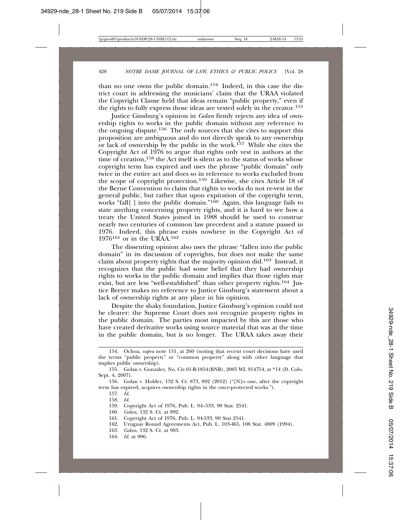than no one owns the public domain.154 Indeed, in this case the district court in addressing the musicians' claim that the URAA violated the Copyright Clause held that ideas remain "public property," even if the rights to fully express those ideas are vested solely in the creator.155

Justice Ginsburg's opinion in *Golan* firmly rejects any idea of ownership rights to works in the public domain without any reference to the ongoing dispute.156 The only sources that she cites to support this proposition are ambiguous and do not directly speak to any ownership or lack of ownership by the public in the work.157 While she cites the Copyright Act of 1976 to argue that rights only vest in authors at the time of creation,<sup>158</sup> the Act itself is silent as to the status of works whose copyright term has expired and uses the phrase "public domain" only twice in the entire act and does so in reference to works excluded from the scope of copyright protection.159 Likewise, she cites Article 18 of the Berne Convention to claim that rights to works do not re-vest in the general public, but rather that upon expiration of the copyright term, works "fall[] into the public domain."<sup>160</sup> Again, this language fails to state anything concerning property rights, and it is hard to see how a treaty the United States joined in 1988 should be used to construe nearly two centuries of common law precedent and a statute passed in 1976. Indeed, this phrase exists nowhere in the Copyright Act of 1976161 or in the URAA.162

The dissenting opinion also uses the phrase "fallen into the public domain" in its discussion of copyrights, but does not make the same claim about property rights that the majority opinion did.163 Instead, it recognizes that the public had some belief that they had ownership rights to works in the public domain and implies that those rights may exist, but are less "well-established" than other property rights.<sup>164</sup> Justice Breyer makes no reference to Justice Ginsburg's statement about a lack of ownership rights at any place in his opinion.

Despite the shaky foundation, Justice Ginsburg's opinion could not be clearer: the Supreme Court does not recognize property rights in the public domain. The parties most impacted by this are those who have created derivative works using source material that was at the time in the public domain, but is no longer. The URAA takes away their

- 160. *Golan*, 132 S. Ct. at 892.
- Copyright Act of 1976, Pub. L. 94-533, 90 Stat 2541.
- 162. Uruguay Round Agreements Act, Pub. L. 103-465, 108 Stat. 4809 (1994).
- 163. *Golan*, 132 S. Ct. at 903.
- 164. *Id.* at 906.

<sup>154.</sup> Ochoa, *supra* note 151, at 260 (noting that recent court decisions have used the terms "public property" or "common property" along with other language that implies public ownership).

<sup>155.</sup> Golan v. Gonzalez*,* No. Civ.01-B-1854(BNB), 2005 WL 914754, at \*14 (D. Colo. Sept. 4, 2007).

<sup>156.</sup> Golan v. Holder*,* 132 S. Ct. 873, 892 (2012) ("[N]o one, after the copyright term has expired, acquires ownership rights in the once-protected works.").

<sup>157.</sup> *Id*.

<sup>158.</sup> *Id*.

<sup>159.</sup> Copyright Act of 1976, Pub. L. 94–533, 90 Stat. 2541.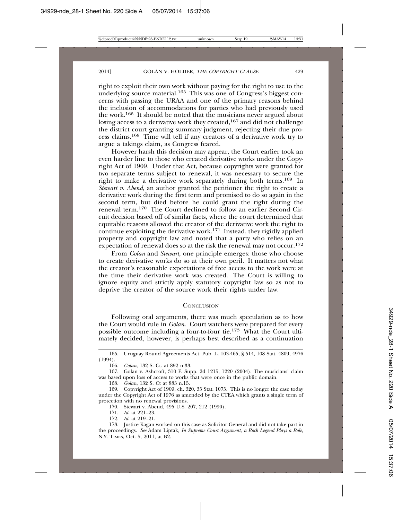right to exploit their own work without paying for the right to use to the underlying source material.<sup>165</sup> This was one of Congress's biggest concerns with passing the URAA and one of the primary reasons behind the inclusion of accommodations for parties who had previously used the work.166 It should be noted that the musicians never argued about losing access to a derivative work they created,  $167$  and did not challenge the district court granting summary judgment, rejecting their due process claims.168 Time will tell if any creators of a derivative work try to argue a takings claim, as Congress feared.

However harsh this decision may appear, the Court earlier took an even harder line to those who created derivative works under the Copyright Act of 1909. Under that Act, because copyrights were granted for two separate terms subject to renewal, it was necessary to secure the right to make a derivative work separately during both terms.169 In *Stewart v. Abend*, an author granted the petitioner the right to create a derivative work during the first term and promised to do so again in the second term, but died before he could grant the right during the renewal term.170 The Court declined to follow an earlier Second Circuit decision based off of similar facts, where the court determined that equitable reasons allowed the creator of the derivative work the right to continue exploiting the derivative work.<sup>171</sup> Instead, they rigidly applied property and copyright law and noted that a party who relies on an expectation of renewal does so at the risk the renewal may not occur.<sup>172</sup>

From *Golan* and *Stewart*, one principle emerges: those who choose to create derivative works do so at their own peril. It matters not what the creator's reasonable expectations of free access to the work were at the time their derivative work was created. The Court is willing to ignore equity and strictly apply statutory copyright law so as not to deprive the creator of the source work their rights under law.

#### **CONCLUSION**

Following oral arguments, there was much speculation as to how the Court would rule in *Golan*. Court watchers were prepared for every possible outcome including a four-to-four tie.<sup>173</sup> What the Court ultimately decided, however, is perhaps best described as a continuation

165. Uruguay Round Agreements Act, Pub. L. 103-465, § 514, 108 Stat. 4809, 4976 (1994).

167. Golan v. Ashcroft, 310 F. Supp. 2d 1215, 1220 (2004). The musicians' claim was based upon loss of access to works that were once in the public domain.

168. *Golan*, 132 S. Ct at 883 n.15.

169. Copyright Act of 1909, ch. 320, 35 Stat. 1075. This is no longer the case today under the Copyright Act of 1976 as amended by the CTEA which grants a single term of protection with no renewal provisions.

170. Stewart v. Abend, 495 U.S. 207, 212 (1990).

171. *Id.* at 221–23.

172. *Id.* at 219–21.

173. Justice Kagan worked on this case as Solicitor General and did not take part in the proceedings. *See* Adam Liptak*, In Supreme Court Argument, a Rock Legend Plays a Role,* N.Y. TIMES, Oct. 5, 2011, at B2.

<sup>166.</sup> *Golan*, 132 S. Ct. at 892 n.33.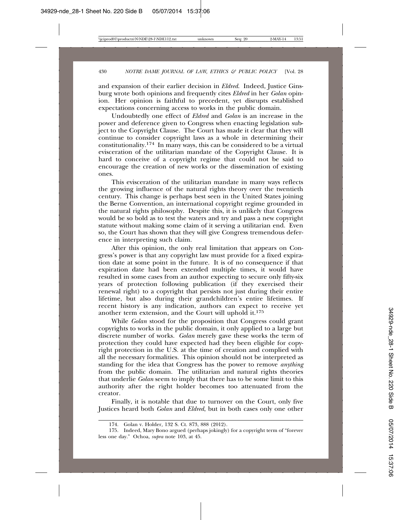and expansion of their earlier decision in *Eldred*. Indeed, Justice Ginsburg wrote both opinions and frequently cites *Eldred* in her *Golan* opinion. Her opinion is faithful to precedent, yet disrupts established expectations concerning access to works in the public domain.

Undoubtedly one effect of *Eldred* and *Golan* is an increase in the power and deference given to Congress when enacting legislation subject to the Copyright Clause. The Court has made it clear that they will continue to consider copyright laws as a whole in determining their constitutionality.174 In many ways, this can be considered to be a virtual evisceration of the utilitarian mandate of the Copyright Clause. It is hard to conceive of a copyright regime that could not be said to encourage the creation of new works or the dissemination of existing ones.

This evisceration of the utilitarian mandate in many ways reflects the growing influence of the natural rights theory over the twentieth century. This change is perhaps best seen in the United States joining the Berne Convention, an international copyright regime grounded in the natural rights philosophy. Despite this, it is unlikely that Congress would be so bold as to test the waters and try and pass a new copyright statute without making some claim of it serving a utilitarian end. Even so, the Court has shown that they will give Congress tremendous deference in interpreting such claim.

After this opinion, the only real limitation that appears on Congress's power is that any copyright law must provide for a fixed expiration date at some point in the future. It is of no consequence if that expiration date had been extended multiple times, it would have resulted in some cases from an author expecting to secure only fifty-six years of protection following publication (if they exercised their renewal right) to a copyright that persists not just during their entire lifetime, but also during their grandchildren's entire lifetimes. If recent history is any indication, authors can expect to receive yet another term extension, and the Court will uphold it.175

While *Golan* stood for the proposition that Congress could grant copyrights to works in the public domain, it only applied to a large but discrete number of works. *Golan* merely gave these works the term of protection they could have expected had they been eligible for copyright protection in the U.S. at the time of creation and complied with all the necessary formalities. This opinion should not be interpreted as standing for the idea that Congress has the power to remove *anything* from the public domain. The utilitarian and natural rights theories that underlie *Golan* seem to imply that there has to be some limit to this authority after the right holder becomes too attenuated from the creator.

Finally, it is notable that due to turnover on the Court, only five Justices heard both *Golan* and *Eldred*, but in both cases only one other

<sup>174.</sup> Golan v. Holder*,* 132 S. Ct. 873, 888 (2012).

<sup>175.</sup> Indeed, Mary Bono argued (perhaps jokingly) for a copyright term of "forever less one day." Ochoa, *supra* note 103, at 45.